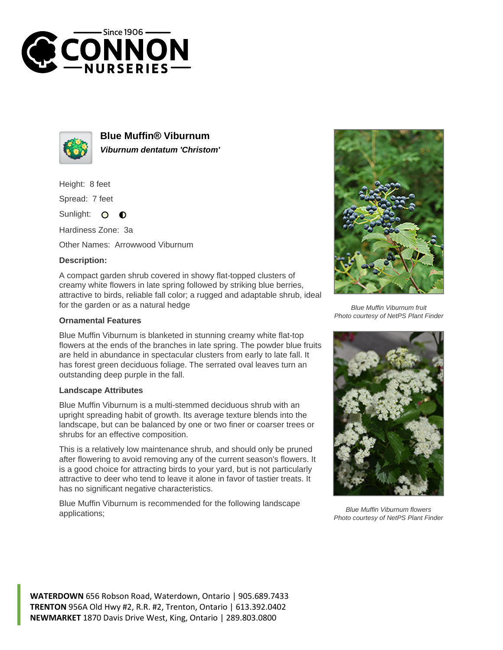



**Blue Muffin® Viburnum Viburnum dentatum 'Christom'**

Height: 8 feet

Spread: 7 feet

Sunlight: O  $\bullet$ 

Hardiness Zone: 3a

Other Names: Arrowwood Viburnum

## **Description:**

A compact garden shrub covered in showy flat-topped clusters of creamy white flowers in late spring followed by striking blue berries, attractive to birds, reliable fall color; a rugged and adaptable shrub, ideal for the garden or as a natural hedge

## **Ornamental Features**

Blue Muffin Viburnum is blanketed in stunning creamy white flat-top flowers at the ends of the branches in late spring. The powder blue fruits are held in abundance in spectacular clusters from early to late fall. It has forest green deciduous foliage. The serrated oval leaves turn an outstanding deep purple in the fall.

## **Landscape Attributes**

Blue Muffin Viburnum is a multi-stemmed deciduous shrub with an upright spreading habit of growth. Its average texture blends into the landscape, but can be balanced by one or two finer or coarser trees or shrubs for an effective composition.

This is a relatively low maintenance shrub, and should only be pruned after flowering to avoid removing any of the current season's flowers. It is a good choice for attracting birds to your yard, but is not particularly attractive to deer who tend to leave it alone in favor of tastier treats. It has no significant negative characteristics.

Blue Muffin Viburnum is recommended for the following landscape applications;



Blue Muffin Viburnum fruit Photo courtesy of NetPS Plant Finder



Blue Muffin Viburnum flowers Photo courtesy of NetPS Plant Finder

**WATERDOWN** 656 Robson Road, Waterdown, Ontario | 905.689.7433 **TRENTON** 956A Old Hwy #2, R.R. #2, Trenton, Ontario | 613.392.0402 **NEWMARKET** 1870 Davis Drive West, King, Ontario | 289.803.0800